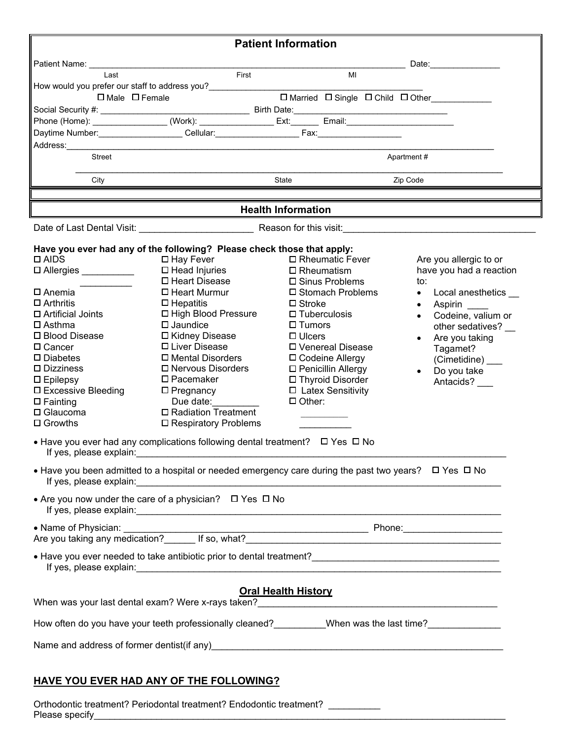| <b>Patient Information</b>                                                                                                                                                                                                                                                                                               |                                                          |                           |                                         |  |            |                                                                                                                                                                                                                                |  |
|--------------------------------------------------------------------------------------------------------------------------------------------------------------------------------------------------------------------------------------------------------------------------------------------------------------------------|----------------------------------------------------------|---------------------------|-----------------------------------------|--|------------|--------------------------------------------------------------------------------------------------------------------------------------------------------------------------------------------------------------------------------|--|
| Patient Name: University of the University of the University of the University of the University of the University of the University of the University of the University of the University of the University of the University                                                                                           |                                                          |                           |                                         |  |            | Date: the contract of the contract of the contract of the contract of the contract of the contract of the contract of the contract of the contract of the contract of the contract of the contract of the contract of the cont |  |
| Last                                                                                                                                                                                                                                                                                                                     | First                                                    |                           | MI                                      |  |            |                                                                                                                                                                                                                                |  |
| How would you prefer our staff to address you?<br>$\square$ Male $\square$ Female                                                                                                                                                                                                                                        |                                                          |                           |                                         |  |            |                                                                                                                                                                                                                                |  |
|                                                                                                                                                                                                                                                                                                                          |                                                          |                           |                                         |  |            | □ Married □ Single □ Child □ Other__________                                                                                                                                                                                   |  |
|                                                                                                                                                                                                                                                                                                                          |                                                          |                           |                                         |  |            |                                                                                                                                                                                                                                |  |
| Daytime Number: Callular: Cellular: Cellular: Fax: Fax: Fax: Cellular: Cellular: Fax: Cellular: Fax: Cellular: Fax: Cellular: Fax: Cellular: Cellular: Fax: Cellular: Cellular: Fax: Cellular: Cellular: Cellular: Cellular: C                                                                                           |                                                          |                           |                                         |  |            |                                                                                                                                                                                                                                |  |
| Address: Analysis and the contract of the contract of the contract of the contract of the contract of the contract of the contract of the contract of the contract of the contract of the contract of the contract of the cont                                                                                           |                                                          |                           |                                         |  |            |                                                                                                                                                                                                                                |  |
| Street                                                                                                                                                                                                                                                                                                                   |                                                          |                           |                                         |  | Apartment# |                                                                                                                                                                                                                                |  |
| City                                                                                                                                                                                                                                                                                                                     | State<br>Zip Code                                        |                           |                                         |  |            |                                                                                                                                                                                                                                |  |
|                                                                                                                                                                                                                                                                                                                          |                                                          |                           |                                         |  |            |                                                                                                                                                                                                                                |  |
|                                                                                                                                                                                                                                                                                                                          |                                                          | <b>Health Information</b> |                                         |  |            |                                                                                                                                                                                                                                |  |
|                                                                                                                                                                                                                                                                                                                          |                                                          |                           |                                         |  |            |                                                                                                                                                                                                                                |  |
| Have you ever had any of the following? Please check those that apply:                                                                                                                                                                                                                                                   |                                                          |                           |                                         |  |            |                                                                                                                                                                                                                                |  |
| $\Box$ AIDS                                                                                                                                                                                                                                                                                                              | □ Hay Fever                                              |                           | □ Rheumatic Fever                       |  |            | Are you allergic to or                                                                                                                                                                                                         |  |
| □ Allergies __________                                                                                                                                                                                                                                                                                                   | $\Box$ Head Injuries<br>□ Heart Disease                  |                           | $\square$ Rheumatism                    |  | to:        | have you had a reaction                                                                                                                                                                                                        |  |
| $\square$ Anemia                                                                                                                                                                                                                                                                                                         | □ Sinus Problems<br>□ Heart Murmur<br>□ Stomach Problems |                           |                                         |  | $\bullet$  | Local anesthetics                                                                                                                                                                                                              |  |
| $\Box$ Arthritis                                                                                                                                                                                                                                                                                                         | $\Box$ Hepatitis                                         |                           | $\square$ Stroke                        |  | $\bullet$  | Aspirin                                                                                                                                                                                                                        |  |
| $\Box$ Artificial Joints                                                                                                                                                                                                                                                                                                 | □ High Blood Pressure                                    | $\Box$ Tuberculosis       |                                         |  |            | Codeine, valium or                                                                                                                                                                                                             |  |
| $\Box$ Asthma                                                                                                                                                                                                                                                                                                            | $\square$ Jaundice                                       | $\square$ Tumors          |                                         |  |            | other sedatives?                                                                                                                                                                                                               |  |
| □ Blood Disease                                                                                                                                                                                                                                                                                                          | □ Kidney Disease                                         | $\Box$ Ulcers             |                                         |  |            | Are you taking                                                                                                                                                                                                                 |  |
| $\Box$ Cancer<br>$\square$ Diabetes                                                                                                                                                                                                                                                                                      | □ Liver Disease<br>□ Mental Disorders                    |                           | □ Venereal Disease<br>□ Codeine Allergy |  |            | Tagamet?                                                                                                                                                                                                                       |  |
| $\square$ Dizziness                                                                                                                                                                                                                                                                                                      | $\square$ Nervous Disorders                              |                           | □ Penicillin Allergy                    |  |            | (Cimetidine) ___<br>Do you take                                                                                                                                                                                                |  |
| $\square$ Epilepsy                                                                                                                                                                                                                                                                                                       | $\square$ Pacemaker                                      |                           | □ Thyroid Disorder                      |  |            | Antacids? ___                                                                                                                                                                                                                  |  |
| $\square$ Excessive Bleeding                                                                                                                                                                                                                                                                                             | $\square$ Pregnancy                                      |                           | □ Latex Sensitivity                     |  |            |                                                                                                                                                                                                                                |  |
| $\square$ Fainting                                                                                                                                                                                                                                                                                                       | Due date:                                                | $\Box$ Other:             |                                         |  |            |                                                                                                                                                                                                                                |  |
| $\Box$ Glaucoma                                                                                                                                                                                                                                                                                                          | □ Radiation Treatment                                    |                           |                                         |  |            |                                                                                                                                                                                                                                |  |
| $\Box$ Growths                                                                                                                                                                                                                                                                                                           | $\square$ Respiratory Problems                           |                           |                                         |  |            |                                                                                                                                                                                                                                |  |
| • Have you ever had any complications following dental treatment? $\Box$ Yes $\Box$ No<br>If yes, please explain: example and a series of the series of the series of the series of the series of the series of the series of the series of the series of the series of the series of the series of the series of the se |                                                          |                           |                                         |  |            |                                                                                                                                                                                                                                |  |
| • Have you been admitted to a hospital or needed emergency care during the past two years? $\Box$ Yes $\Box$ No                                                                                                                                                                                                          |                                                          |                           |                                         |  |            |                                                                                                                                                                                                                                |  |
| • Are you now under the care of a physician? $\Box$ Yes $\Box$ No                                                                                                                                                                                                                                                        |                                                          |                           |                                         |  |            |                                                                                                                                                                                                                                |  |
|                                                                                                                                                                                                                                                                                                                          |                                                          |                           |                                         |  |            |                                                                                                                                                                                                                                |  |
|                                                                                                                                                                                                                                                                                                                          |                                                          |                           |                                         |  |            |                                                                                                                                                                                                                                |  |
| <b>Oral Health History</b>                                                                                                                                                                                                                                                                                               |                                                          |                           |                                         |  |            |                                                                                                                                                                                                                                |  |
| How often do you have your teeth professionally cleaned? _________When was the last time? ______________                                                                                                                                                                                                                 |                                                          |                           |                                         |  |            |                                                                                                                                                                                                                                |  |
| Name and address of former dentist(if any)<br>Name and address of former dentist(if any)                                                                                                                                                                                                                                 |                                                          |                           |                                         |  |            |                                                                                                                                                                                                                                |  |
|                                                                                                                                                                                                                                                                                                                          |                                                          |                           |                                         |  |            |                                                                                                                                                                                                                                |  |

## **HAVE YOU EVER HAD ANY OF THE FOLLOWING?**

Orthodontic treatment? Periodontal treatment? Endodontic treatment? \_\_\_\_\_\_\_\_\_\_\_\_ Please specify\_\_\_\_\_\_\_\_\_\_\_\_\_\_\_\_\_\_\_\_\_\_\_\_\_\_\_\_\_\_\_\_\_\_\_\_\_\_\_\_\_\_\_\_\_\_\_\_\_\_\_\_\_\_\_\_\_\_\_\_\_\_\_\_\_\_\_\_\_\_\_\_\_\_\_\_\_\_\_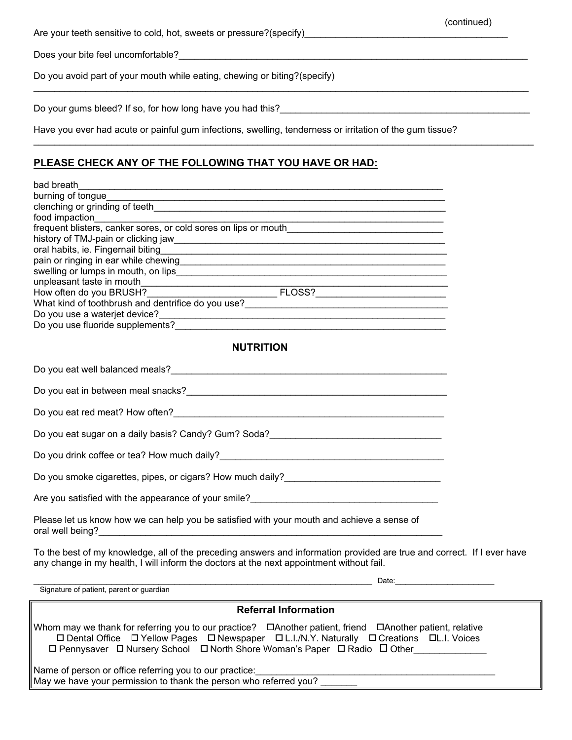Are your teeth sensitive to cold, hot, sweets or pressure?(specify)\_\_\_\_\_\_\_\_\_\_\_\_\_\_\_\_\_\_\_\_\_\_\_\_\_\_\_\_\_\_\_\_\_\_\_\_\_\_\_

Does your bite feel uncomfortable?

Do you avoid part of your mouth while eating, chewing or biting?(specify)

Do your gums bleed? If so, for how long have you had this?

Have you ever had acute or painful gum infections, swelling, tenderness or irritation of the gum tissue?

 $\mathcal{L}_\mathcal{L} = \{ \mathcal{L}_\mathcal{L} = \{ \mathcal{L}_\mathcal{L} = \{ \mathcal{L}_\mathcal{L} = \{ \mathcal{L}_\mathcal{L} = \{ \mathcal{L}_\mathcal{L} = \{ \mathcal{L}_\mathcal{L} = \{ \mathcal{L}_\mathcal{L} = \{ \mathcal{L}_\mathcal{L} = \{ \mathcal{L}_\mathcal{L} = \{ \mathcal{L}_\mathcal{L} = \{ \mathcal{L}_\mathcal{L} = \{ \mathcal{L}_\mathcal{L} = \{ \mathcal{L}_\mathcal{L} = \{ \mathcal{L}_\mathcal{$ 

 $\mathcal{L}_\text{max}$  , and the contribution of the contribution of the contribution of the contribution of the contribution of the contribution of the contribution of the contribution of the contribution of the contribution of t

(continued)

## **PLEASE CHECK ANY OF THE FOLLOWING THAT YOU HAVE OR HAD:**

| burning of tongue                                                                                                                                                                                                                    |  |
|--------------------------------------------------------------------------------------------------------------------------------------------------------------------------------------------------------------------------------------|--|
|                                                                                                                                                                                                                                      |  |
|                                                                                                                                                                                                                                      |  |
|                                                                                                                                                                                                                                      |  |
|                                                                                                                                                                                                                                      |  |
|                                                                                                                                                                                                                                      |  |
|                                                                                                                                                                                                                                      |  |
|                                                                                                                                                                                                                                      |  |
|                                                                                                                                                                                                                                      |  |
|                                                                                                                                                                                                                                      |  |
|                                                                                                                                                                                                                                      |  |
|                                                                                                                                                                                                                                      |  |
|                                                                                                                                                                                                                                      |  |
| <b>NUTRITION</b>                                                                                                                                                                                                                     |  |
|                                                                                                                                                                                                                                      |  |
|                                                                                                                                                                                                                                      |  |
| Do you eat red meat? How often?<br>and the manufacturer and the manufacturer and the manufacturer and the manufacturer and the manufacturer and t                                                                                    |  |
|                                                                                                                                                                                                                                      |  |
|                                                                                                                                                                                                                                      |  |
|                                                                                                                                                                                                                                      |  |
|                                                                                                                                                                                                                                      |  |
| Please let us know how we can help you be satisfied with your mouth and achieve a sense of                                                                                                                                           |  |
| To the best of my knowledge, all of the preceding answers and information provided are true and correct. If I ever have<br>any change in my health, I will inform the doctors at the next appointment without fail.                  |  |
| <u>Date: http://www.information.com/information.com/information.com/information.com/information.com/information.com/information.com/information.com/information.com/information.com/information.com/information.com/information.</u> |  |
| Signature of patient, parent or guardian                                                                                                                                                                                             |  |
| <b>Referral Information</b>                                                                                                                                                                                                          |  |
| □ Dental Office □ Yellow Pages □ Newspaper □ L.I./N.Y. Naturally □ Creations □ L.I. Voices<br>□ Pennysaver □ Nursery School □ North Shore Woman's Paper □ Radio □ Other                                                              |  |
| Name of person or office referring you to our practice:                                                                                                                                                                              |  |

May we have your permission to thank the person who referred you?